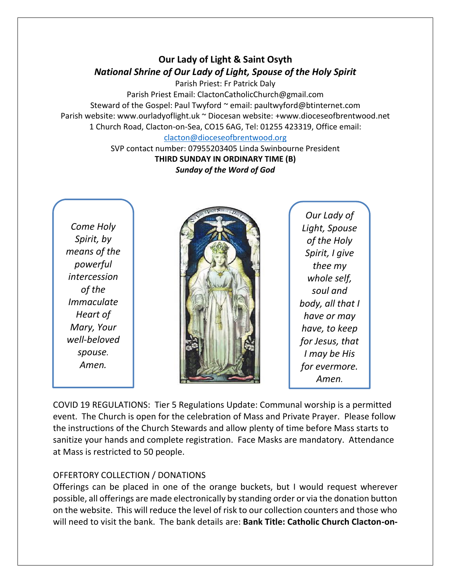# **Our Lady of Light & Saint Osyth** *National Shrine of Our Lady of Light, Spouse of the Holy Spirit*

Parish Priest: Fr Patrick Daly Parish Priest Email: ClactonCatholicChurch@gmail.com Steward of the Gospel: Paul Twyford ~ email: paultwyford@btinternet.com

Parish website: www.ourladyoflight.uk ~ Diocesan website: +www.dioceseofbrentwood.net

1 Church Road, Clacton-on-Sea, CO15 6AG, Tel: 01255 423319, Office email:

## [clacton@dioceseofbrentwood.org](mailto:clacton@dioceseofbrentwood.org)

SVP contact number: 07955203405 Linda Swinbourne President **THIRD SUNDAY IN ORDINARY TIME (B)** *Sunday of the Word of God*

*Come Holy Spirit, by means of the powerful intercession of the Immaculate Heart of Mary, Your well-beloved spouse. Amen.*



*Our Lady of Light, Spouse of the Holy Spirit, I give thee my whole self, soul and body, all that I have or may have, to keep for Jesus, that I may be His for evermore. Amen.*

COVID 19 REGULATIONS: Tier 5 Regulations Update: Communal worship is a permitted event. The Church is open for the celebration of Mass and Private Prayer. Please follow the instructions of the Church Stewards and allow plenty of time before Mass starts to sanitize your hands and complete registration. Face Masks are mandatory. Attendance at Mass is restricted to 50 people.

## OFFERTORY COLLECTION / DONATIONS

Offerings can be placed in one of the orange buckets, but I would request wherever possible, all offerings are made electronically by standing order or via the donation button on the website. This will reduce the level of risk to our collection counters and those who will need to visit the bank. The bank details are: **Bank Title: Catholic Church Clacton-on-**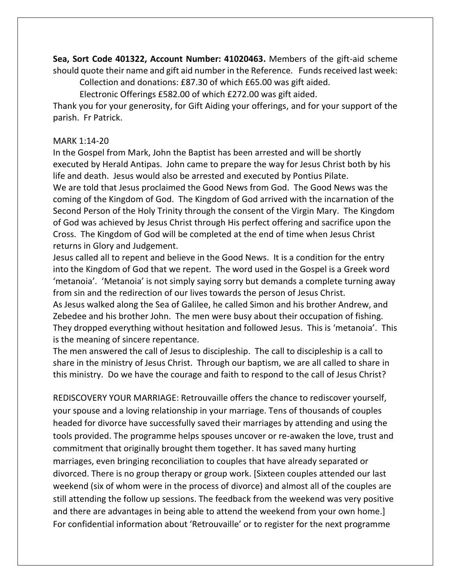**Sea, Sort Code 401322, Account Number: 41020463.** Members of the gift-aid scheme should quote their name and gift aid number in the Reference. Funds received last week:

Collection and donations: £87.30 of which £65.00 was gift aided. Electronic Offerings £582.00 of which £272.00 was gift aided.

Thank you for your generosity, for Gift Aiding your offerings, and for your support of the parish. Fr Patrick.

### MARK 1:14-20

In the Gospel from Mark, John the Baptist has been arrested and will be shortly executed by Herald Antipas. John came to prepare the way for Jesus Christ both by his life and death. Jesus would also be arrested and executed by Pontius Pilate. We are told that Jesus proclaimed the Good News from God. The Good News was the coming of the Kingdom of God. The Kingdom of God arrived with the incarnation of the Second Person of the Holy Trinity through the consent of the Virgin Mary. The Kingdom of God was achieved by Jesus Christ through His perfect offering and sacrifice upon the Cross. The Kingdom of God will be completed at the end of time when Jesus Christ returns in Glory and Judgement.

Jesus called all to repent and believe in the Good News. It is a condition for the entry into the Kingdom of God that we repent. The word used in the Gospel is a Greek word 'metanoia'. 'Metanoia' is not simply saying sorry but demands a complete turning away from sin and the redirection of our lives towards the person of Jesus Christ. As Jesus walked along the Sea of Galilee, he called Simon and his brother Andrew, and Zebedee and his brother John. The men were busy about their occupation of fishing.

They dropped everything without hesitation and followed Jesus. This is 'metanoia'. This is the meaning of sincere repentance.

The men answered the call of Jesus to discipleship. The call to discipleship is a call to share in the ministry of Jesus Christ. Through our baptism, we are all called to share in this ministry. Do we have the courage and faith to respond to the call of Jesus Christ?

REDISCOVERY YOUR MARRIAGE: Retrouvaille offers the chance to rediscover yourself, your spouse and a loving relationship in your marriage. Tens of thousands of couples headed for divorce have successfully saved their marriages by attending and using the tools provided. The programme helps spouses uncover or re-awaken the love, trust and commitment that originally brought them together. It has saved many hurting marriages, even bringing reconciliation to couples that have already separated or divorced. There is no group therapy or group work. [Sixteen couples attended our last weekend (six of whom were in the process of divorce) and almost all of the couples are still attending the follow up sessions. The feedback from the weekend was very positive and there are advantages in being able to attend the weekend from your own home.] For confidential information about 'Retrouvaille' or to register for the next programme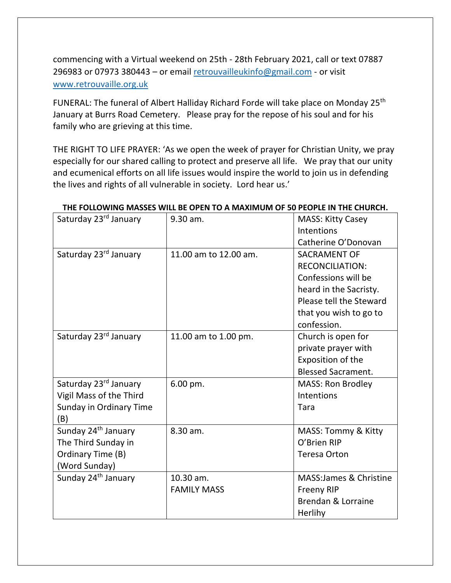commencing with a Virtual weekend on 25th - 28th February 2021, call or text 07887 296983 or 07973 380443 - or email [retrouvailleukinfo@gmail.com](mailto:retrouvailleukinfo@gmail.com) - or visit [www.retrouvaille.org.uk](http://www.retrouvaille.org.uk/)

FUNERAL: The funeral of Albert Halliday Richard Forde will take place on Monday 25<sup>th</sup> January at Burrs Road Cemetery. Please pray for the repose of his soul and for his family who are grieving at this time.

THE RIGHT TO LIFE PRAYER: 'As we open the week of prayer for Christian Unity, we pray especially for our shared calling to protect and preserve all life. We pray that our unity and ecumenical efforts on all life issues would inspire the world to join us in defending the lives and rights of all vulnerable in society. Lord hear us.'

| Saturday 23rd January             | 9.30 am.              | <b>MASS: Kitty Casey</b>      |
|-----------------------------------|-----------------------|-------------------------------|
|                                   |                       | Intentions                    |
|                                   |                       | Catherine O'Donovan           |
| Saturday 23 <sup>rd</sup> January | 11.00 am to 12.00 am. | <b>SACRAMENT OF</b>           |
|                                   |                       | <b>RECONCILIATION:</b>        |
|                                   |                       | Confessions will be           |
|                                   |                       | heard in the Sacristy.        |
|                                   |                       | Please tell the Steward       |
|                                   |                       | that you wish to go to        |
|                                   |                       | confession.                   |
| Saturday 23 <sup>rd</sup> January | 11.00 am to 1.00 pm.  | Church is open for            |
|                                   |                       | private prayer with           |
|                                   |                       | Exposition of the             |
|                                   |                       | <b>Blessed Sacrament.</b>     |
| Saturday 23rd January             | 6.00 pm.              | <b>MASS: Ron Brodley</b>      |
| Vigil Mass of the Third           |                       | Intentions                    |
| Sunday in Ordinary Time           |                       | Tara                          |
| (B)                               |                       |                               |
| Sunday 24 <sup>th</sup> January   | 8.30 am.              | MASS: Tommy & Kitty           |
| The Third Sunday in               |                       | O'Brien RIP                   |
| Ordinary Time (B)                 |                       | <b>Teresa Orton</b>           |
| (Word Sunday)                     |                       |                               |
| Sunday 24 <sup>th</sup> January   | 10.30 am.             | MASS: James & Christine       |
|                                   | <b>FAMILY MASS</b>    | <b>Freeny RIP</b>             |
|                                   |                       | <b>Brendan &amp; Lorraine</b> |
|                                   |                       | Herlihy                       |

#### **THE FOLLOWING MASSES WILL BE OPEN TO A MAXIMUM OF 50 PEOPLE IN THE CHURCH.**